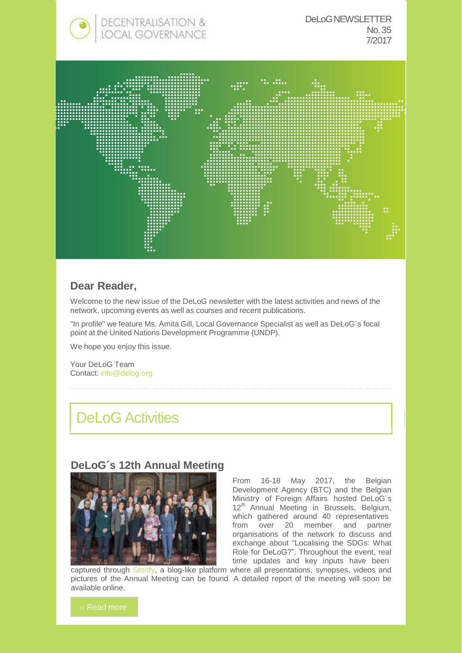

#### **Dear Reader,**

Welcome to the new issue of the DeLoG newsletter with the latest activities and news of the network, upcoming events as well as courses and recent publications.

"In profile" we feature Ms. Amita Gill, Local Governance Specialist as well as DeLoG´s focal point at the United Nations Development Programme (UNDP).

We hope you enjoy this issue.

Your DeLoG Team Contact: [info@delog.org](mailto:info@delog.org)

## DeLoG Activities

#### **DeLoG´s 12th Annual Meeting**



From 16-18 May 2017, the Belgian Development Agency (BTC) and the Belgian Ministry of Foreign Affairs hosted DeLoG´s 12<sup>th</sup> Annual Meeting in Brussels, Belgium, which gathered around 40 representatives from over 20 member and partner organisations of the network to discuss and exchange about "Localising the SDGs: What Role for DeLoG?". Throughout the event, real time updates and key inputs have been

captured through Storify, a blog-like platform where all presentations, synopses, videos and pictures of the Annual Meeting can be found. A detailed report of the meeting will soon be available online.

›› Read more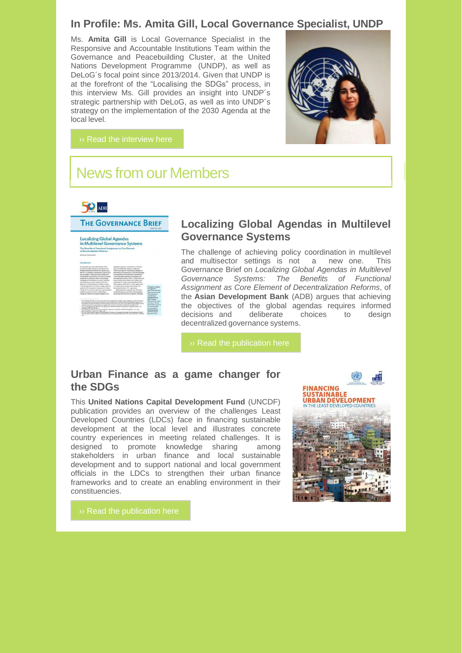#### **In Profile: Ms. Amita Gill, Local Governance Specialist, UNDP**

Ms. **Amita Gill** is Local Governance Specialist in the Responsive and Accountable Institutions Team within the Governance and Peacebuilding Cluster, at the United Nations Development Programme (UNDP), as well as DeLoG´s focal point since 2013/2014. Given that UNDP is at the forefront of the "Localising the SDGs" process, in this interview Ms. Gill provides an insight into UNDP´s strategic partnership with DeLoG, as well as into UNDP´s strategy on the implementation of the 2030 Agenda at the local level.



## News from our Members

## **SO** ADB

# **THE GOVERNANCE BRIEF** Localizing Global Agendas<br>in Multilevel Governance Systems<br>The Benefits of Functional Assignment as Core Element<br>of Decentralization Reforms

#### **Localizing Global Agendas in Multilevel Governance Systems**

The challenge of achieving policy coordination in multilevel and multisector settings is not a new one. This Governance Brief on *Localizing Global Agendas in Multilevel Governance Systems: The Benefits of Functional Assignment as Core Element of Decentralization Reforms*, of the **Asian Development Bank** (ADB) argues that achieving the objectives of the global agendas requires informed<br>decisions and deliberate choices to design decisions and deliberate choices to design decentralized governance systems.

#### **Urban Finance as a game changer for the SDGs**

This **United Nations Capital Development Fund** (UNCDF) publication provides an overview of the challenges Least Developed Countries (LDCs) face in financing sustainable development at the local level and illustrates concrete country experiences in meeting related challenges. It is designed to promote knowledge sharing among stakeholders in urban finance and local sustainable development and to support national and local government officials in the LDCs to strengthen their urban finance frameworks and to create an enabling environment in their constituencies.

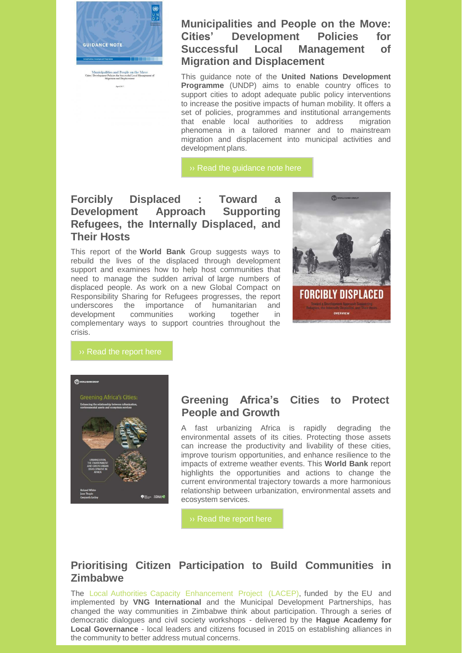

#### **Municipalities and People on the Move: Cities' Development Policies for Successful Local Management of Migration and Displacement**

This guidance note of the **United Nations Development Programme** (UNDP) aims to enable country offices to support cities to adopt adequate public policy interventions to increase the positive impacts of human mobility. It offers a set of policies, programmes and institutional arrangements that enable local authorities to address migration phenomena in a tailored manner and to mainstream migration and displacement into municipal activities and development plans.

›› Read the guidance note here

#### **Forcibly Displaced : Toward a Development Approach Supporting Refugees, the Internally Displaced, and Their Hosts**

This report of the **World Bank** Group suggests ways to rebuild the lives of the displaced through development support and examines how to help host communities that need to manage the sudden arrival of large numbers of displaced people. As work on a new Global Compact on Responsibility Sharing for Refugees progresses, the report underscores the importance of humanitarian and development communities working together in complementary ways to support countries throughout the crisis.





#### **Greening Africa's Cities to Protect People and Growth**

A fast urbanizing Africa is rapidly degrading the environmental assets of its cities. Protecting those assets can increase the productivity and livability of these cities, improve tourism opportunities, and enhance resilience to the impacts of extreme weather events. This **World Bank** report highlights the opportunities and actions to change the current environmental trajectory towards a more harmonious relationship between urbanization, environmental assets and ecosystem services.

#### **Prioritising Citizen Participation to Build Communities in Zimbabwe**

The Local Authorities Capacity Enhancement Project (LACEP), funded by the EU and implemented by **VNG International** and the Municipal Development Partnerships, has changed the way communities in Zimbabwe think about participation. Through a series of democratic dialogues and civil society workshops - delivered by the **Hague Academy for Local Governance** - local leaders and citizens focused in 2015 on establishing alliances in the community to better address mutual concerns.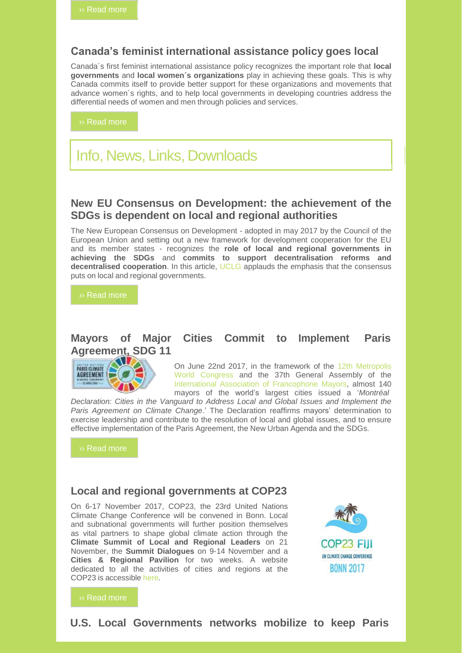#### **Canada's feminist international assistance policy goes local**

Canada´s first feminist international assistance policy recognizes the important role that **local governments** and **local women´s organizations** play in achieving these goals. This is why Canada commits itself to provide better support for these organizations and movements that advance women´s rights, and to help local governments in developing countries address the differential needs of women and men through policies and services.

›› Read more

## Info, News, Links, Downloads

#### **New EU Consensus on Development: the achievement of the SDGs is dependent on local and regional authorities**

The New European Consensus on Development - adopted in may 2017 by the Council of the European Union and setting out a new framework for development cooperation for the EU and its member states - recognizes the **role of local and regional governments in achieving the SDGs** and **commits to support decentralisation reforms and decentralised cooperation**. In this article, UCLG applauds the emphasis that the consensus puts on local and regional governments.

›› Read more

#### **Mayors of Major Cities Commit to Implement Paris Agreement, SDG 11**



On June 22nd 2017, in the framework of the 12th Metropolis World Congress and the 37th General Assembly of the International Association of Francophone Mayors, almost 140 mayors of the world's largest cities issued a '*Montréal*

*Declaration: Cities in the Vanguard to Address Local and Global Issues and Implement the Paris Agreement on Climate Change*.' The Declaration reaffirms mayors' determination to exercise leadership and contribute to the resolution of local and global issues, and to ensure effective implementation of the Paris Agreement, the New Urban Agenda and the SDGs.

›› Read more

#### **Local and regional governments at COP23**

On 6-17 November 2017, COP23, the 23rd United Nations Climate Change Conference will be convened in Bonn. Local and subnational governments will further position themselves as vital partners to shape global climate action through the **Climate Summit of Local and Regional Leaders** on 21 November, the **Summit Dialogues** on 9-14 November and a **Cities & Regional Pavilion** for two weeks. A website dedicated to all the activities of cities and regions at the COP23 is accessible here.



#### ›› Read more

#### **U.S. Local Governments networks mobilize to keep Paris**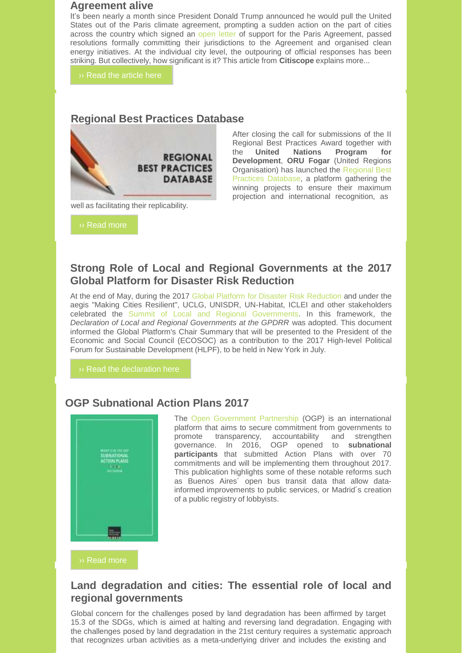#### **Agreement alive**

It's been nearly a month since President Donald Trump announced he would pull the United States out of the Paris climate agreement, prompting a sudden action on the part of cities across the country which signed an open letter of support for the Paris Agreement, passed resolutions formally committing their jurisdictions to the Agreement and organised clean energy initiatives. At the individual city level, the outpouring of official responses has been striking. But collectively, how significant is it? This article from **Citiscope** explains more...

›› Read the article here

#### **Regional Best Practices Database**



well as facilitating their replicability.

›› Read more

After closing the call for submissions of the II Regional Best Practices Award together with the **United Nations Program for Development**, **ORU Fogar** (United Regions Organisation) has launched the Regional Best Practices Database, a platform gathering the winning projects to ensure their maximum projection and international recognition, as

#### **Strong Role of Local and Regional Governments at the 2017 Global Platform for Disaster Risk Reduction**

At the end of May, during the 2017 Global Platform for Disaster Risk Reduction and under the aegis "Making Cities Resilient", UCLG, UNISDR, UN-Habitat, ICLEI and other stakeholders celebrated the Summit of Local and Regional Governments. In this framework, the *Declaration of Local and Regional Governments at the GPDRR* was adopted. This document informed the Global Platform's Chair Summary that will be presented to the President of the Economic and Social Council (ECOSOC) as a contribution to the 2017 High-level Political Forum for Sustainable Development (HLPF), to be held in New York in July.

›› Read the declaration here

#### **OGP Subnational Action Plans 2017**



The Open Government Partnership (OGP) is an international platform that aims to secure commitment from governments to promote transparency, accountability and strengthen governance. In 2016, OGP opened to **subnational participants** that submitted Action Plans with over 70 commitments and will be implementing them throughout 2017. This publication highlights some of these notable reforms such as Buenos Aires´ open bus transit data that allow datainformed improvements to public services, or Madrid´s creation of a public registry of lobbyists.

›› Read more

#### **Land degradation and cities: The essential role of local and regional governments**

Global concern for the challenges posed by land degradation has been affirmed by target 15.3 of the SDGs, which is aimed at halting and reversing land degradation. Engaging with the challenges posed by land degradation in the 21st century requires a systematic approach that recognizes urban activities as a meta-underlying driver and includes the existing and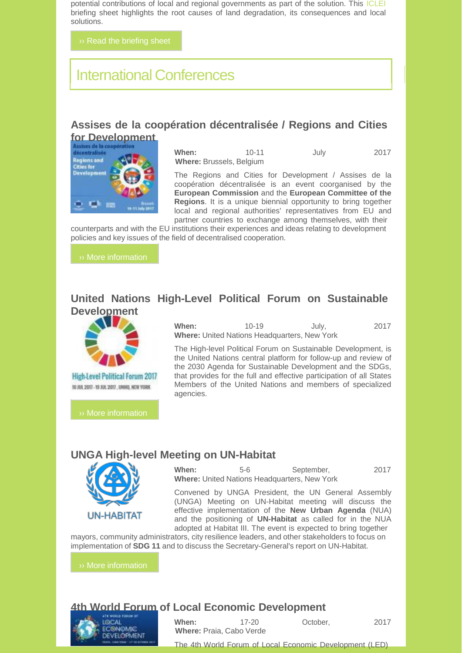potential contributions of local and regional governments as part of the solution. This ICLEI briefing sheet highlights the root causes of land degradation, its consequences and local solutions.

## International Conferences

## **Assises de la coopération décentralisée / Regions and Cities**



| When:                           | $10 - 11$ | July | 2017 |
|---------------------------------|-----------|------|------|
| <b>Where: Brussels, Belgium</b> |           |      |      |

The Regions and Cities for Development / Assises de la coopération décentralisée is an event coorganised by the **European Commission** and the **European Committee of the Regions**. It is a unique biennial opportunity to bring together local and regional authorities' representatives from EU and partner countries to exchange among themselves, with their

counterparts and with the EU institutions their experiences and ideas relating to development policies and key issues of the field of decentralised cooperation.

#### **United Nations High-Level Political Forum on Sustainable Development**



**High-Level Political Forum 2017** TO JUL 2017 - 19 JUL 2017, UNHO, NEW YORK

›› More information

**When:** 10-19 July, 2017 **Where:** United Nations Headquarters, New York

The High-level Political Forum on Sustainable Development, is the United Nations central platform for follow-up and review of the 2030 Agenda for Sustainable Development and the SDGs, that provides for the full and effective participation of all States Members of the United Nations and members of specialized agencies.

#### **UNGA High-level Meeting on UN-Habitat**



**When:** 5-6 September, 2017 **Where:** United Nations Headquarters, New York

Convened by UNGA President, the UN General Assembly (UNGA) Meeting on UN-Habitat meeting will discuss the effective implementation of the **New Urban Agenda** (NUA) and the positioning of **UN-Habitat** as called for in the NUA adopted at Habitat III. The event is expected to bring together

mayors, community administrators, city resilience leaders, and other stakeholders to focus on implementation of **SDG 11** and to discuss the Secretary-General's report on UN-Habitat.

›› More information

#### **4th World Forum of Local Economic Development**



**When:** 17-20 **October, 2017 Where:** Praia, Cabo Verde

The 4th World Forum of Local Economic Development (LED)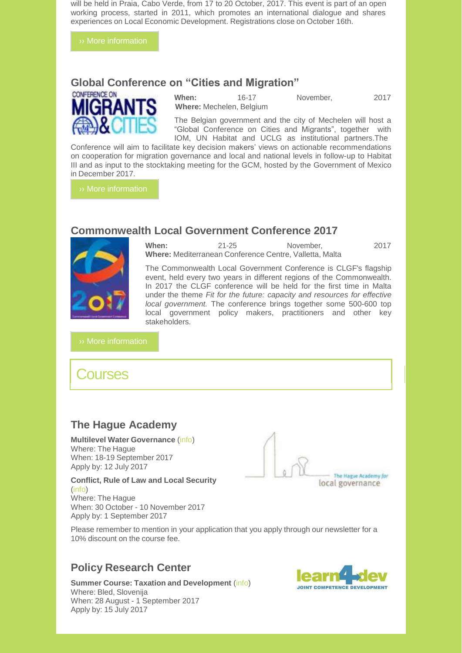will be held in Praia, Cabo Verde, from 17 to 20 October, 2017. This event is part of an open working process, started in 2011, which promotes an international dialogue and shares experiences on Local Economic Development. Registrations close on October 16th.

›› More information

#### **Global Conference on "Cities and Migration"**



**When:** 16-17 November, 2017 **Where:** Mechelen, Belgium

The Belgian government and the city of Mechelen will host a "Global Conference on Cities and Migrants", together with IOM, UN Habitat and UCLG as institutional partners.The

Conference will aim to facilitate key decision makers' views on actionable recommendations on cooperation for migration governance and local and national levels in follow-up to Habitat III and as input to the stocktaking meeting for the GCM, hosted by the Government of Mexico in December 2017.

›› More information

#### **Commonwealth Local Government Conference 2017**



**When:** 21-25 November, 2017 **Where:** Mediterranean Conference Centre, Valletta, Malta

The Commonwealth Local Government Conference is CLGF's flagship event, held every two years in different regions of the Commonwealth. In 2017 the CLGF conference will be held for the first time in Malta under the theme *Fit for the future: capacity and resources for effective local government.* The conference brings together some 500-600 top local government policy makers, practitioners and other key stakeholders.

›› More information

## **Courses**

### **The Hague Academy**

**Multilevel Water Governance** (info) Where: The Hague When: 18-19 September 2017 Apply by: 12 July 2017

**Conflict, Rule of Law and Local Security** (info) Where: The Hague



When: 30 October - 10 November 2017 Apply by: 1 September 2017

Please remember to mention in your application that you apply through our newsletter for a 10% discount on the course fee.

#### **Policy Research Center**

**Summer Course: Taxation and Development** (info) Where: Bled, Slovenija When: 28 August - 1 September 2017 Apply by: 15 July 2017

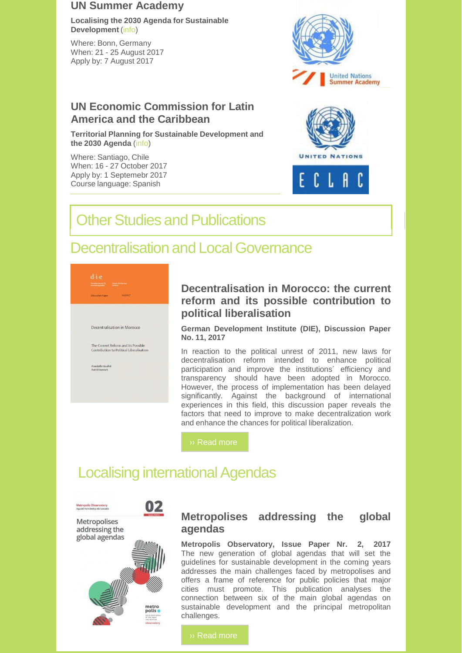#### **UN Summer Academy**

**Localising the 2030 Agenda for Sustainable Development** (info)

Where: Bonn, Germany When: 21 - 25 August 2017 Apply by: 7 August 2017

#### **UN Economic Commission for Latin America and the Caribbean**

**Territorial Planning for Sustainable Development and the 2030 Agenda** (info)

Where: Santiago, Chile When: 16 - 27 October 2017 Apply by: 1 Septemebr 2017 Course language: Spanish





## **Other Studies and Publications**

## Decentralisation and Local Governance



#### **Decentralisation in Morocco: the current reform and its possible contribution to political liberalisation**

**German Development Institute (DIE), Discussion Paper No. 11, 2017**

In reaction to the political unrest of 2011, new laws for decentralisation reform intended to enhance political participation and improve the institutions´ efficiency and transparency should have been adopted in Morocco. However, the process of implementation has been delayed significantly. Against the background of international experiences in this field, this discussion paper reveals the factors that need to improve to make decentralization work and enhance the chances for political liberalization.

›› Read more

## **Localising international Agendas**



#### **Metropolises addressing the global agendas**

**Metropolis Observatory, Issue Paper Nr. 2, 2017** The new generation of global agendas that will set the guidelines for sustainable development in the coming years addresses the main challenges faced by metropolises and offers a frame of reference for public policies that major cities must promote. This publication analyses the connection between six of the main global agendas on sustainable development and the principal metropolitan challenges.

›› Read more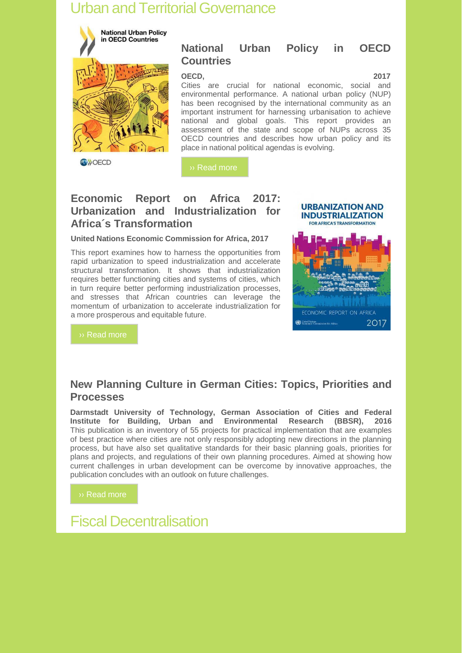## **Urban and Territorial Governance**



**National Urban Policy in OECD Countries**

**OECD, 2017** Cities are crucial for national economic, social and environmental performance. A national urban policy (NUP) has been recognised by the international community as an important instrument for harnessing urbanisation to achieve national and global goals. This report provides an assessment of the state and scope of NUPs across 35 OECD countries and describes how urban policy and its place in national political agendas is evolving.

›› Read more

#### **Economic Report on Africa 2017: Urbanization and Industrialization for Africa´s Transformation**

**United Nations Economic Commission for Africa, 2017**

This report examines how to harness the opportunities from rapid urbanization to speed industrialization and accelerate structural transformation. It shows that industrialization requires better functioning cities and systems of cities, which in turn require better performing industrialization processes, and stresses that African countries can leverage the momentum of urbanization to accelerate industrialization for a more prosperous and equitable future.



#### **New Planning Culture in German Cities: Topics, Priorities and Processes**

**Darmstadt University of Technology, German Association of Cities and Federal Institute for Building, Urban and Environmental Research (BBSR), 2016** This publication is an inventory of 55 projects for practical implementation that are examples of best practice where cities are not only responsibly adopting new directions in the planning process, but have also set qualitative standards for their basic planning goals, priorities for plans and projects, and regulations of their own planning procedures. Aimed at showing how current challenges in urban development can be overcome by innovative approaches, the publication concludes with an outlook on future challenges.

›› Read more

Fiscal Decentralisation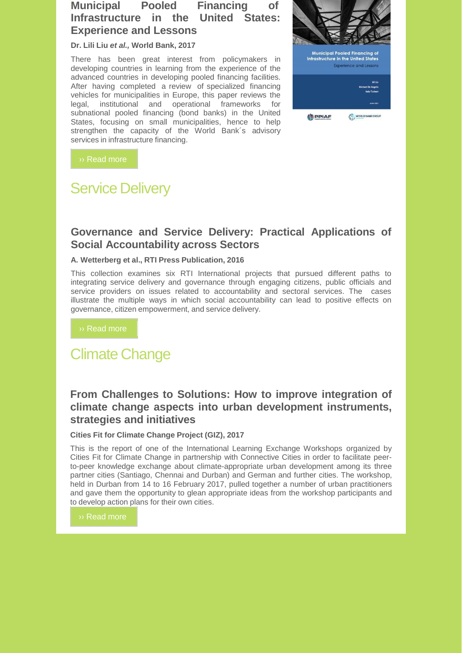#### **Municipal Pooled Financing of Infrastructure in the United States: Experience and Lessons**

#### **Dr. Lili Liu** *et al.,* **World Bank, 2017**

There has been great interest from policymakers in developing countries in learning from the experience of the advanced countries in developing pooled financing facilities. After having completed a review of specialized financing vehicles for municipalities in Europe, this paper reviews the legal, institutional and operational frameworks for subnational pooled financing (bond banks) in the United States, focusing on small municipalities, hence to help strengthen the capacity of the World Bank´s advisory services in infrastructure financing.



›› Read more

## Service Delivery

#### **Governance and Service Delivery: Practical Applications of Social Accountability across Sectors**

#### **A. Wetterberg et al., RTI Press Publication, 2016**

This collection examines six RTI International projects that pursued different paths to integrating service delivery and governance through engaging citizens, public officials and service providers on issues related to accountability and sectoral services. The cases illustrate the multiple ways in which social accountability can lead to positive effects on governance, citizen empowerment, and service delivery.

›› Read more

## Climate Change

#### **From Challenges to Solutions: How to improve integration of climate change aspects into urban development instruments, strategies and initiatives**

#### **Cities Fit for Climate Change Project (GIZ), 2017**

This is the report of one of the International Learning Exchange Workshops organized by Cities Fit for Climate Change in partnership with Connective Cities in order to facilitate peerto-peer knowledge exchange about climate-appropriate urban development among its three partner cities (Santiago, Chennai and Durban) and German and further cities. The workshop, held in Durban from 14 to 16 February 2017, pulled together a number of urban practitioners and gave them the opportunity to glean appropriate ideas from the workshop participants and to develop action plans for their own cities.

›› Read more